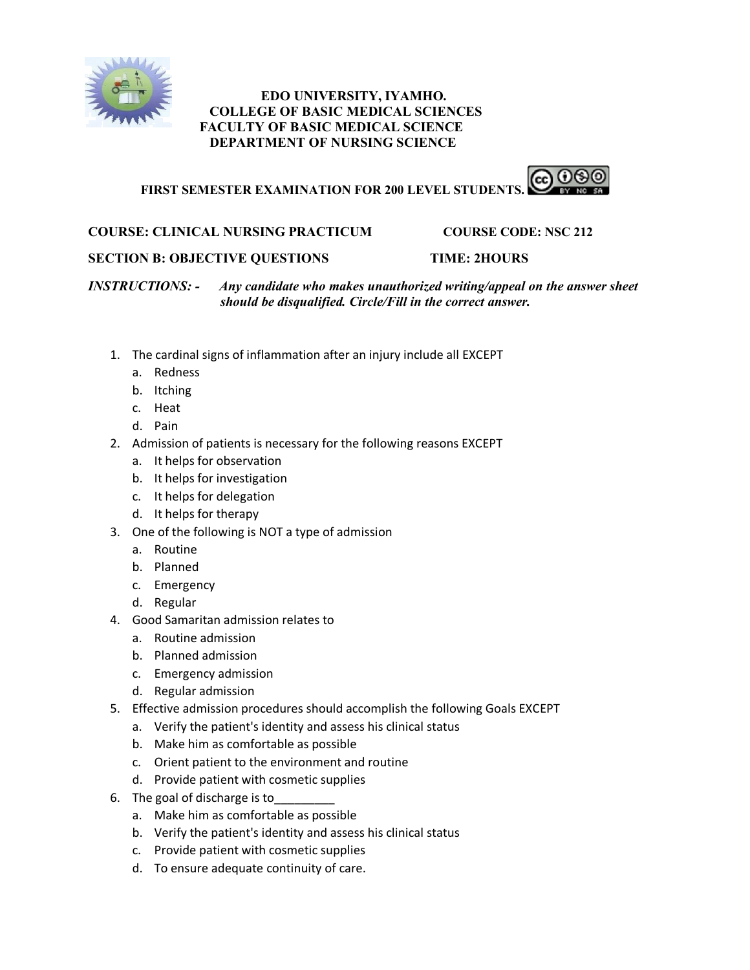

# **EDO UNIVERSITY, IYAMHO. COLLEGE OF BASIC MEDICAL SCIENCES FACULTY OF BASIC MEDICAL SCIENCE DEPARTMENT OF NURSING SCIENCE**

**FIRST SEMESTER EXAMINATION FOR 200 LEVEL STUDENTS.**



# **COURSE: CLINICAL NURSING PRACTICUM COURSE CODE: NSC 212**

# **SECTION B: OBJECTIVE QUESTIONS TIME: 2HOURS**

*INSTRUCTIONS: - Any candidate who makes unauthorized writing/appeal on the answer sheet should be disqualified. Circle/Fill in the correct answer.*

- 1. The cardinal signs of inflammation after an injury include all EXCEPT
	- a. Redness
	- b. Itching
	- c. Heat
	- d. Pain
- 2. Admission of patients is necessary for the following reasons EXCEPT
	- a. It helps for observation
	- b. It helps for investigation
	- c. It helps for delegation
	- d. It helps for therapy
- 3. One of the following is NOT a type of admission
	- a. Routine
	- b. Planned
	- c. Emergency
	- d. Regular
- 4. Good Samaritan admission relates to
	- a. Routine admission
	- b. Planned admission
	- c. Emergency admission
	- d. Regular admission
- 5. Effective admission procedures should accomplish the following Goals EXCEPT
	- a. Verify the patient's identity and assess his clinical status
	- b. Make him as comfortable as possible
	- c. Orient patient to the environment and routine
	- d. Provide patient with cosmetic supplies
- 6. The goal of discharge is to
	- a. Make him as comfortable as possible
	- b. Verify the patient's identity and assess his clinical status
	- c. Provide patient with cosmetic supplies
	- d. To ensure adequate continuity of care.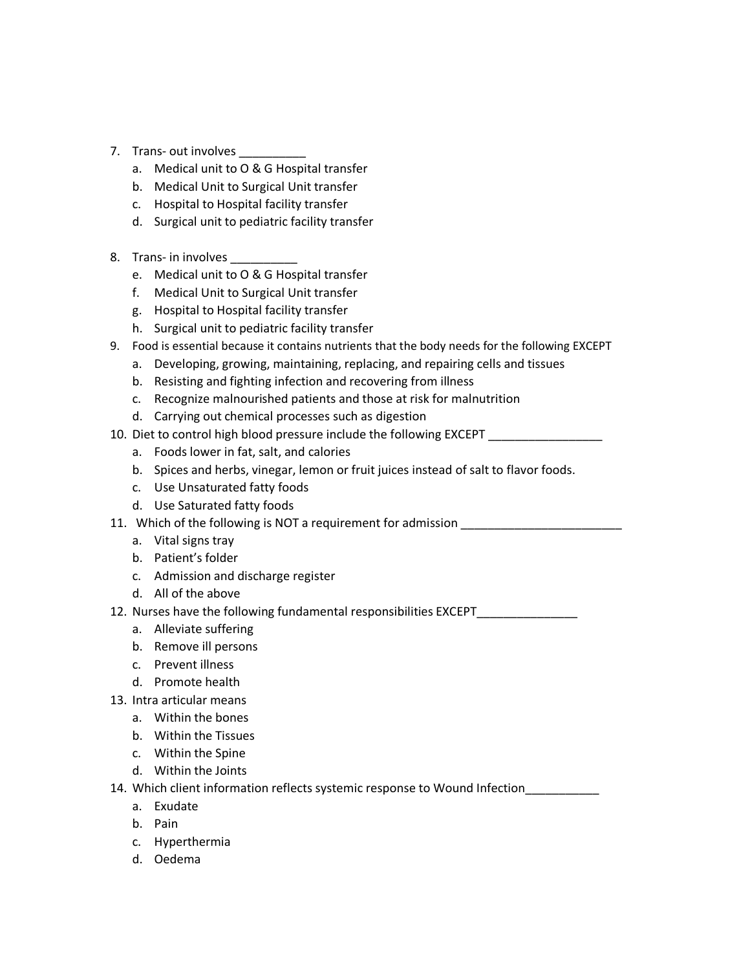- 7. Trans- out involves
	- a. Medical unit to O & G Hospital transfer
	- b. Medical Unit to Surgical Unit transfer
	- c. Hospital to Hospital facility transfer
	- d. Surgical unit to pediatric facility transfer
- 8. Trans- in involves
	- e. Medical unit to O & G Hospital transfer
	- f. Medical Unit to Surgical Unit transfer
	- g. Hospital to Hospital facility transfer
	- h. Surgical unit to pediatric facility transfer
- 9. Food is essential because it contains nutrients that the body needs for the following EXCEPT
	- a. Developing, growing, maintaining, replacing, and repairing cells and tissues
	- b. Resisting and fighting infection and recovering from illness
	- c. Recognize malnourished patients and those at risk for malnutrition
	- d. Carrying out chemical processes such as digestion
- 10. Diet to control high blood pressure include the following EXCEPT
	- a. Foods lower in fat, salt, and calories
	- b. Spices and herbs, vinegar, lemon or fruit juices instead of salt to flavor foods.
	- c. Use Unsaturated fatty foods
	- d. Use Saturated fatty foods
- 11. Which of the following is NOT a requirement for admission \_\_\_\_\_\_\_\_\_\_\_\_\_\_\_\_\_\_
	- a. Vital signs tray
	- b. Patient's folder
	- c. Admission and discharge register
	- d. All of the above
- 12. Nurses have the following fundamental responsibilities EXCEPT
	- a. Alleviate suffering
	- b. Remove ill persons
	- c. Prevent illness
	- d. Promote health
- 13. Intra articular means
	- a. Within the bones
	- b. Within the Tissues
	- c. Within the Spine
	- d. Within the Joints

14. Which client information reflects systemic response to Wound Infection\_\_\_\_\_\_\_\_\_\_\_

- a. Exudate
- b. Pain
- c. Hyperthermia
- d. Oedema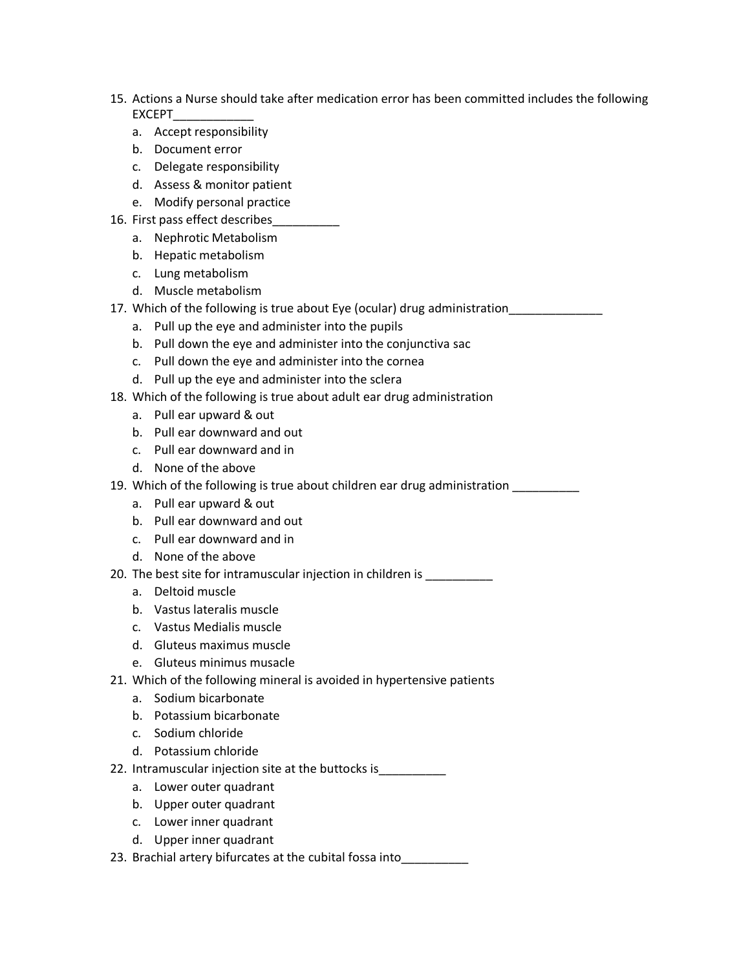- 15. Actions a Nurse should take after medication error has been committed includes the following EXCEPT\_\_\_\_\_\_\_\_\_\_\_\_
	- a. Accept responsibility
	- b. Document error
	- c. Delegate responsibility
	- d. Assess & monitor patient
	- e. Modify personal practice
- 16. First pass effect describes\_\_\_\_\_\_\_\_\_\_
	- a. Nephrotic Metabolism
	- b. Hepatic metabolism
	- c. Lung metabolism
	- d. Muscle metabolism
- 17. Which of the following is true about Eye (ocular) drug administration\_\_\_\_\_\_\_\_
	- a. Pull up the eye and administer into the pupils
	- b. Pull down the eye and administer into the conjunctiva sac
	- c. Pull down the eye and administer into the cornea
	- d. Pull up the eye and administer into the sclera
- 18. Which of the following is true about adult ear drug administration
	- a. Pull ear upward & out
	- b. Pull ear downward and out
	- c. Pull ear downward and in
	- d. None of the above

19. Which of the following is true about children ear drug administration \_\_\_\_\_\_\_\_\_\_

- a. Pull ear upward & out
- b. Pull ear downward and out
- c. Pull ear downward and in
- d. None of the above
- 20. The best site for intramuscular injection in children is
	- a. Deltoid muscle
	- b. Vastus lateralis muscle
	- c. Vastus Medialis muscle
	- d. Gluteus maximus muscle
	- e. Gluteus minimus musacle
- 21. Which of the following mineral is avoided in hypertensive patients
	- a. Sodium bicarbonate
	- b. Potassium bicarbonate
	- c. Sodium chloride
	- d. Potassium chloride
- 22. Intramuscular injection site at the buttocks is\_\_\_\_\_\_\_\_\_\_
	- a. Lower outer quadrant
	- b. Upper outer quadrant
	- c. Lower inner quadrant
	- d. Upper inner quadrant
- 23. Brachial artery bifurcates at the cubital fossa into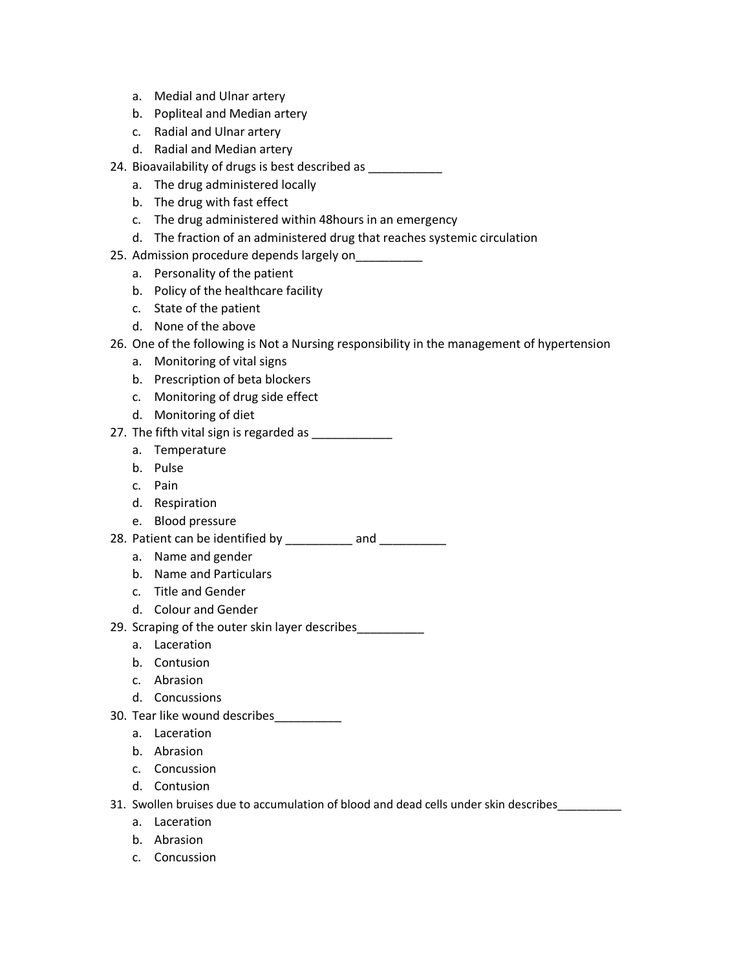- a. Medial and Ulnar artery
- b. Popliteal and Median artery
- c. Radial and Ulnar artery
- d. Radial and Median artery
- 24. Bioavailability of drugs is best described as \_\_\_\_\_\_\_\_\_\_
	- a. The drug administered locally
	- b. The drug with fast effect
	- c. The drug administered within 48hours in an emergency
	- d. The fraction of an administered drug that reaches systemic circulation
- 25. Admission procedure depends largely on\_\_\_\_\_\_\_\_\_\_
	- a. Personality of the patient
	- b. Policy of the healthcare facility
	- c. State of the patient
	- d. None of the above
- 26. One of the following is Not a Nursing responsibility in the management of hypertension
	- a. Monitoring of vital signs
	- b. Prescription of beta blockers
	- c. Monitoring of drug side effect
	- d. Monitoring of diet
- 27. The fifth vital sign is regarded as \_\_\_\_\_\_\_\_\_\_\_\_\_\_
	- a. Temperature
	- b. Pulse
	- c. Pain
	- d. Respiration
	- e. Blood pressure
- 28. Patient can be identified by \_\_\_\_\_\_\_\_\_\_ and \_\_\_\_\_\_\_\_\_\_
	- a. Name and gender
	- b. Name and Particulars
	- c. Title and Gender
	- d. Colour and Gender
- 29. Scraping of the outer skin layer describes\_\_\_\_\_\_\_\_\_\_
	- a. Laceration
	- b. Contusion
	- c. Abrasion
	- d. Concussions
- 30. Tear like wound describes\_\_\_\_\_\_\_\_\_\_
	- a. Laceration
	- b. Abrasion
	- c. Concussion
	- d. Contusion
- 31. Swollen bruises due to accumulation of blood and dead cells under skin describes\_\_\_\_\_\_\_\_\_\_
	- a. Laceration
	- b. Abrasion
	- c. Concussion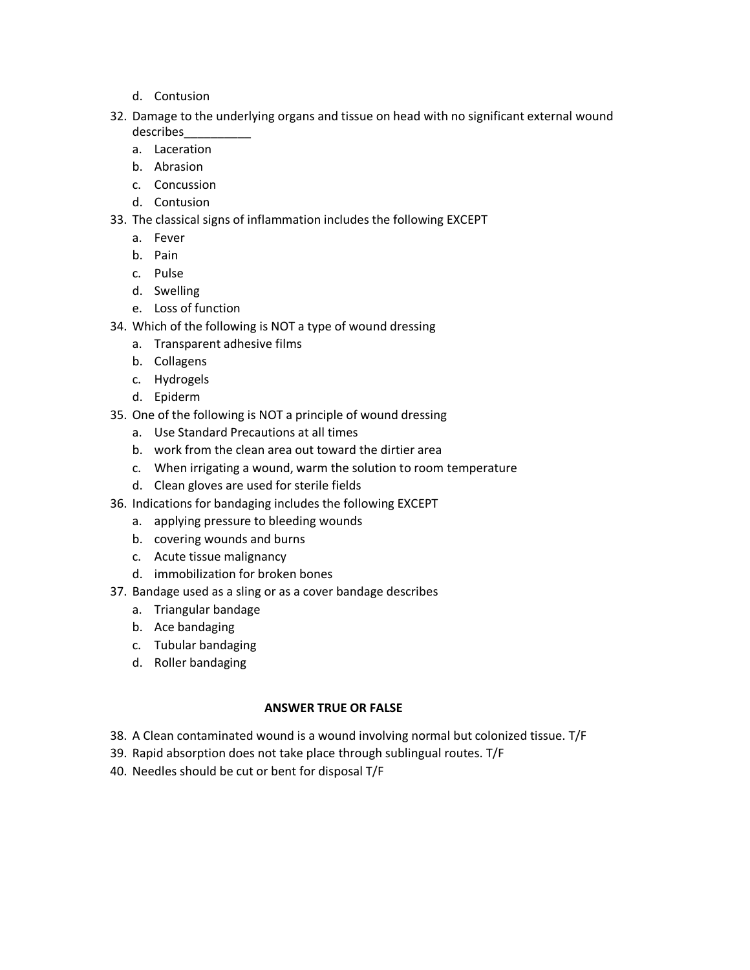- d. Contusion
- 32. Damage to the underlying organs and tissue on head with no significant external wound describes\_\_\_\_\_\_\_\_\_\_
	- a. Laceration
	- b. Abrasion
	- c. Concussion
	- d. Contusion
- 33. The classical signs of inflammation includes the following EXCEPT
	- a. Fever
	- b. Pain
	- c. Pulse
	- d. Swelling
	- e. Loss of function
- 34. Which of the following is NOT a type of wound dressing
	- a. Transparent adhesive films
	- b. Collagens
	- c. Hydrogels
	- d. Epiderm
- 35. One of the following is NOT a principle of wound dressing
	- a. Use Standard Precautions at all times
	- b. work from the clean area out toward the dirtier area
	- c. When irrigating a wound, warm the solution to room temperature
	- d. Clean gloves are used for sterile fields
- 36. Indications for bandaging includes the following EXCEPT
	- a. applying pressure to bleeding wounds
	- b. covering wounds and burns
	- c. Acute tissue malignancy
	- d. immobilization for broken bones
- 37. Bandage used as a sling or as a cover bandage describes
	- a. Triangular bandage
	- b. Ace bandaging
	- c. Tubular bandaging
	- d. Roller bandaging

#### **ANSWER TRUE OR FALSE**

- 38. A Clean contaminated wound is a wound involving normal but colonized tissue. T/F
- 39. Rapid absorption does not take place through sublingual routes. T/F
- 40. Needles should be cut or bent for disposal T/F